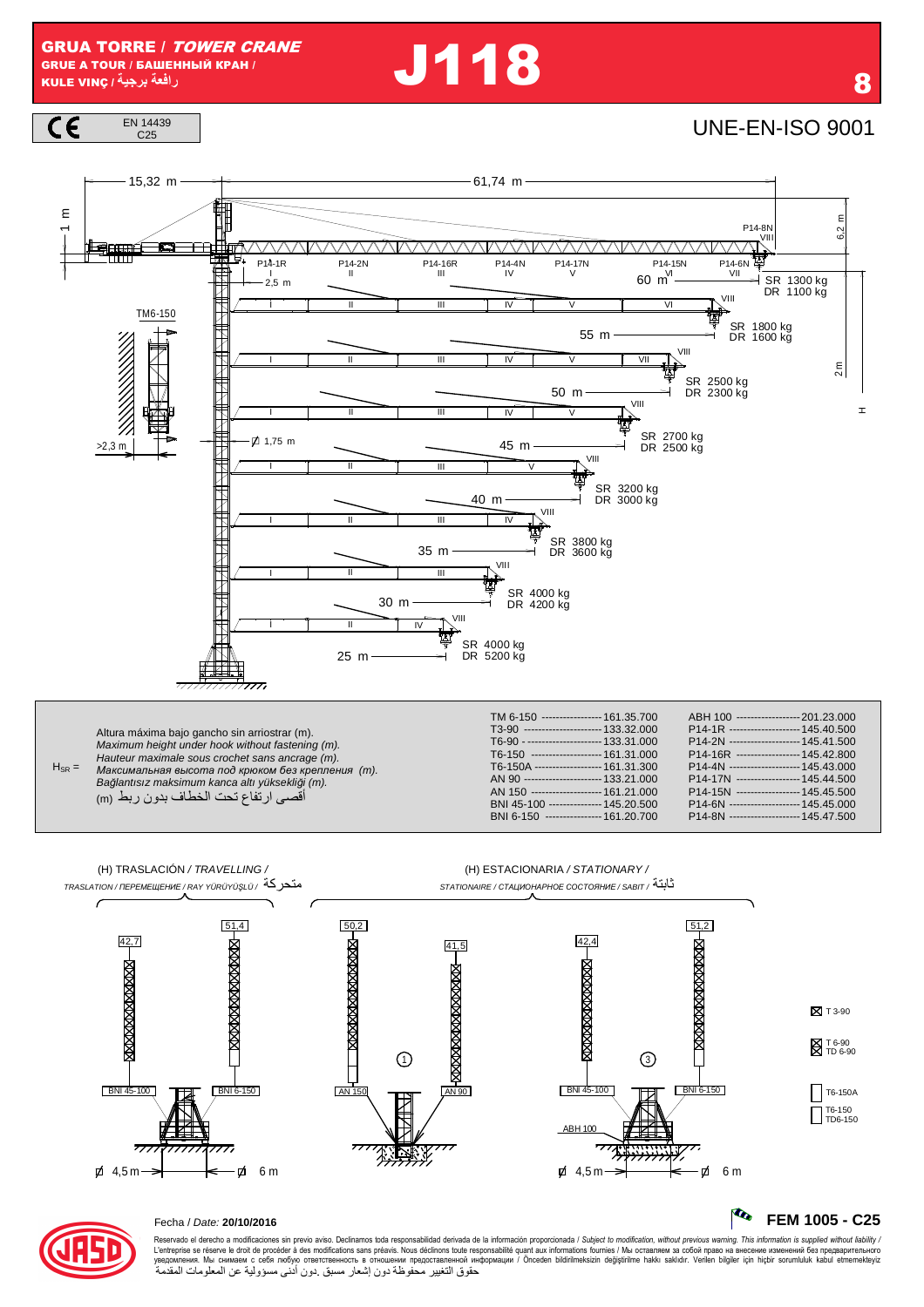**J118** 

 $C \in$ EN 14439 C<sub>25</sub>

**UNE-EN-ISO 9001** 



Bağlantısız maksimum kanca altı yüksekliği (m). أقصى ارتفاع تحت الخطاف بدون ربط (m)

| TM 6-150 ----------------- 161.35.700    | ABH 100 ------------------- 201.23.000 |
|------------------------------------------|----------------------------------------|
| T3-90 ---------------------- 133.32.000  | P14-1R -------------------- 145.40.500 |
| T6-90 - --------------------- 133.31.000 | P14-2N -------------------- 145.41.500 |
| T6-150 -------------------- 161.31.000   | P14-16R ------------------ 145.42.800  |
| T6-150A ------------------- 161.31.300   | P14-4N -------------------- 145.43.000 |
| AN 90 ---------------------- 133.21.000  | P14-17N ------------------ 145.44.500  |
| AN 150 -------------------- 161.21.000   | P14-15N ------------------ 145.45.500  |
| BNI 45-100 -------------- 145.20.500     | P14-6N -------------------- 145.45.000 |
| BNI 6-150 ---------------- 161.20.700    | P14-8N -------------------- 145.47.500 |
|                                          |                                        |



### Fecha / Date: 20/10/2016

Reservado el derecho a modificaciones sin previo aviso. Declinamos toda responsabilidad derivada de la información proporcionada / Subject to modification, without previous warning. This information is supplied without li حقوق التغيير محفوظة دون إشعار مسبق دون أدنى مسؤولية عن المعلومات المقدمة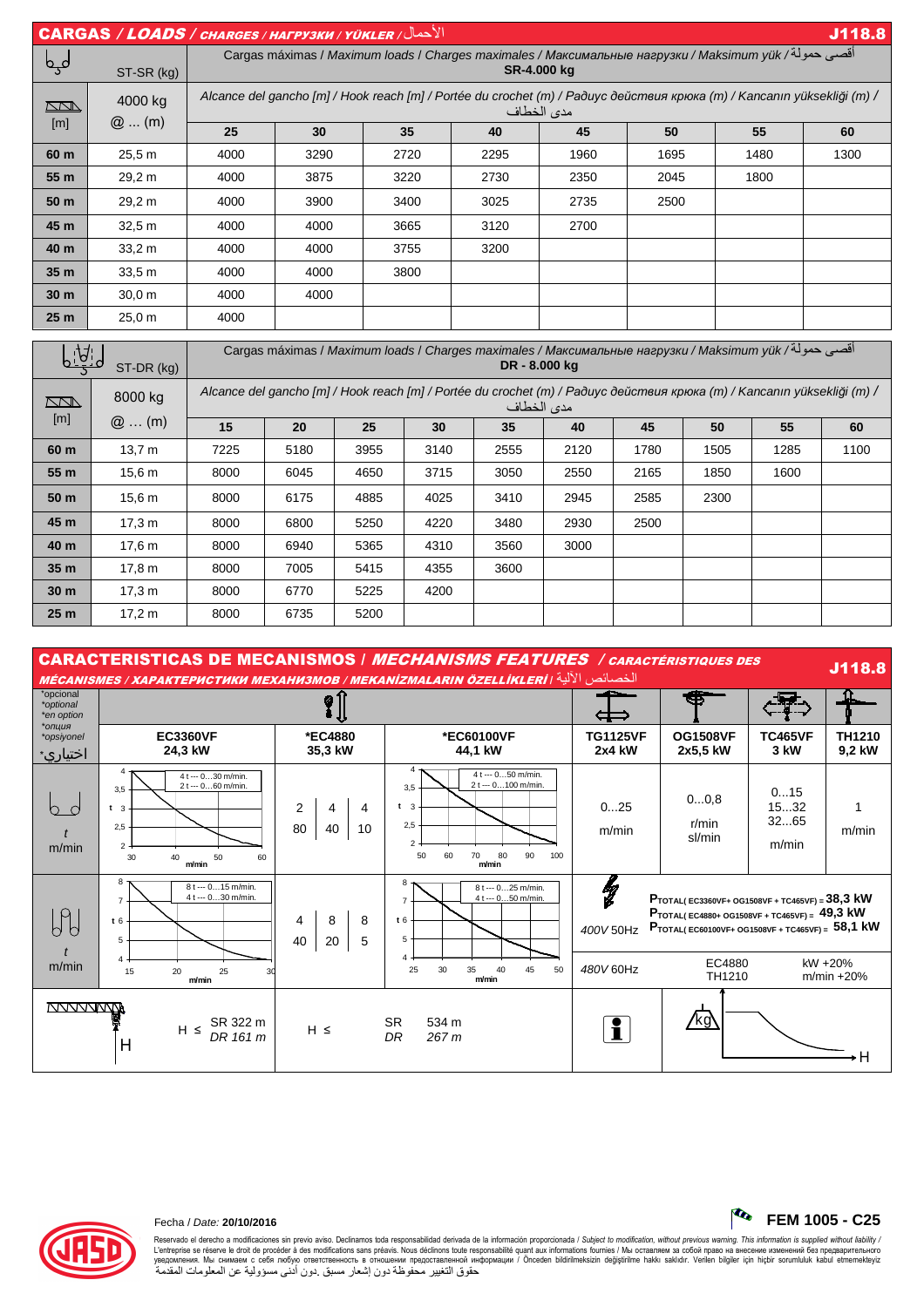|                 | الأحمال/ CARGAS / LOADS / CHARGES / HAFPY3KW / YÜKLER<br>J118.8                                                                                             |      |                                                                                                                             |      |      |      |      |      |      |  |  |
|-----------------|-------------------------------------------------------------------------------------------------------------------------------------------------------------|------|-----------------------------------------------------------------------------------------------------------------------------|------|------|------|------|------|------|--|--|
| لمہما           | ST-SR (kg)                                                                                                                                                  |      | اقصي حمولة/ Cargas máximas / <i>Maximum loads</i> / Charges maximales / Максимальные нагрузки / Maksimum yük<br>SR-4.000 kg |      |      |      |      |      |      |  |  |
| <b>RNA</b>      | Alcance del gancho [m] / Hook reach [m] / Portée du crochet (m) / Paðuyc действия крюка (m) / Kancanın yüksekliği (m) /<br>4000 kg<br>مدى الخطاف<br>$@$ (m) |      |                                                                                                                             |      |      |      |      |      |      |  |  |
| [m]             |                                                                                                                                                             | 25   | 30                                                                                                                          | 35   | 40   | 45   | 50   | 55   | 60   |  |  |
| 60 m            | 25.5 m                                                                                                                                                      | 4000 | 3290                                                                                                                        | 2720 | 2295 | 1960 | 1695 | 1480 | 1300 |  |  |
| 55 m            | 29,2 m                                                                                                                                                      | 4000 | 3875                                                                                                                        | 3220 | 2730 | 2350 | 2045 | 1800 |      |  |  |
| 50 m            | 29,2 m                                                                                                                                                      | 4000 | 3900                                                                                                                        | 3400 | 3025 | 2735 | 2500 |      |      |  |  |
| 45 m            | 32.5 m                                                                                                                                                      | 4000 | 4000                                                                                                                        | 3665 | 3120 | 2700 |      |      |      |  |  |
| 40 m            | 33.2 m                                                                                                                                                      | 4000 | 4000                                                                                                                        | 3755 | 3200 |      |      |      |      |  |  |
| 35 <sub>m</sub> | 33,5 m                                                                                                                                                      | 4000 | 4000                                                                                                                        | 3800 |      |      |      |      |      |  |  |
| 30 <sub>m</sub> | 30.0 m                                                                                                                                                      | 4000 | 4000                                                                                                                        |      |      |      |      |      |      |  |  |
| 25 <sub>m</sub> | 25.0 m                                                                                                                                                      | 4000 |                                                                                                                             |      |      |      |      |      |      |  |  |

|                 | ST-DR (kg)        | اقصي حمولة/ Cargas máximas / <i>Maximum loads</i> / Charges maximales / Максимальные нагрузки / Maksimum yük<br>DR - 8.000 kg         |      |      |      |      |      |      |      |      |      |
|-----------------|-------------------|---------------------------------------------------------------------------------------------------------------------------------------|------|------|------|------|------|------|------|------|------|
| <u>kad</u>      | 8000 kg           | Alcance del gancho [m] / Hook reach [m] / Portée du crochet (m) / Paðuyc действия крюка (m) / Kancanın yüksekliği (m) /<br>مدى الخطاف |      |      |      |      |      |      |      |      |      |
| [m]             | $@$ (m)           | 15                                                                                                                                    | 20   | 25   | 30   | 35   | 40   | 45   | 50   | 55   | 60   |
| 60 m            | 13.7 m            | 7225                                                                                                                                  | 5180 | 3955 | 3140 | 2555 | 2120 | 1780 | 1505 | 1285 | 1100 |
| 55 m            | 15.6 <sub>m</sub> | 8000                                                                                                                                  | 6045 | 4650 | 3715 | 3050 | 2550 | 2165 | 1850 | 1600 |      |
| 50 m            | 15.6 m            | 8000                                                                                                                                  | 6175 | 4885 | 4025 | 3410 | 2945 | 2585 | 2300 |      |      |
| 45 m            | 17.3 m            | 8000                                                                                                                                  | 6800 | 5250 | 4220 | 3480 | 2930 | 2500 |      |      |      |
| 40 m            | 17.6 <sub>m</sub> | 8000                                                                                                                                  | 6940 | 5365 | 4310 | 3560 | 3000 |      |      |      |      |
| 35 m            | 17,8 m            | 8000                                                                                                                                  | 7005 | 5415 | 4355 | 3600 |      |      |      |      |      |
| 30 <sub>m</sub> | 17.3 m            | 8000                                                                                                                                  | 6770 | 5225 | 4200 |      |      |      |      |      |      |
| 25 <sub>m</sub> | 17,2 m            | 8000                                                                                                                                  | 6735 | 5200 |      |      |      |      |      |      |      |

|                                      |                                                                                                                           |                               | <b>CARACTERISTICAS DE MECANISMOS / MECHANISMS FEATURES / CARACTÉRISTIQUES DES</b><br>الخصائص الآلية / MÉCANISMES / ХАРАКТЕРИСТИКИ МЕХАНИЗМОВ / МЕКАNIZMALARIN ÖZELLİKLERİ |                           |                                                                                                                                                                                   |                              | J118.8                   |
|--------------------------------------|---------------------------------------------------------------------------------------------------------------------------|-------------------------------|---------------------------------------------------------------------------------------------------------------------------------------------------------------------------|---------------------------|-----------------------------------------------------------------------------------------------------------------------------------------------------------------------------------|------------------------------|--------------------------|
| *opcional<br>*optional<br>*en option |                                                                                                                           |                               | Æ                                                                                                                                                                         |                           |                                                                                                                                                                                   |                              |                          |
| *опция<br>*opsiyonel<br>اختياري∗     | <b>EC3360VF</b><br>24,3 kW                                                                                                | *EC4880<br>35,3 kW            | *EC60100VF<br>44,1 kW                                                                                                                                                     | <b>TG1125VF</b><br>2x4 kW | <b>OG1508VF</b><br>2x5,5 kW                                                                                                                                                       | <b>TC465VF</b><br>3 kW       | TH1210<br>9,2 kW         |
| m/min                                | 4 -<br>4 t --- 030 m/min.<br>2 t --- 060 m/min.<br>3.5<br>t <sub>3</sub><br>2.5<br>$2$ .<br>50<br>30<br>40<br>60<br>m/min | 2<br>4<br>4<br>80<br>10<br>40 | $4 \cdot$<br>4 t --- 050 m/min.<br>2 t --- 0100 m/min.<br>3,5<br>$t = 3$<br>2,5<br>$\overline{\phantom{a}}$<br>70<br>80<br>90<br>100<br>50<br>60<br>m/min                 | 025<br>m/min              | 00,8<br>r/min<br>sl/min                                                                                                                                                           | 015<br>1532<br>3265<br>m/min | m/min                    |
| Ы                                    | $8 -$<br>8 t --- 015 m/min.<br>4 t --- 030 m/min.<br>$\overline{7}$<br>t6<br>5                                            | 8<br>8<br>4<br>40<br>5<br>20  | 8<br>8 t --- 025 m/min.<br>4 t --- 050 m/min.<br>$\overline{7}$<br>t6<br>5                                                                                                | lg<br>8<br>400V 50Hz      | <b>PTOTAL(EC3360VF+ OG1508VF + TC465VF) = 38,3 kW</b><br>$P_{\text{TOTAL}}$ (EC4880+ OG1508VF + TC465VF) = 49,3 kW<br>$P_{\text{TOTAL( ECG0100VF+ OG1508VF + TC465VF)} = 58,1 kW$ |                              |                          |
| m/min                                | 20<br>25<br>15<br>30<br>m/min                                                                                             |                               | 30<br>35<br>45<br>25<br>40<br>50<br>m/min                                                                                                                                 | 480V 60Hz                 | EC4880<br>TH1210                                                                                                                                                                  |                              | kW +20%<br>$m/min + 20%$ |
|                                      | SR 322 m<br>$H \leq$<br>DR 161 m<br>H                                                                                     | $H \leq$                      | <b>SR</b><br>534 m<br>DR<br>267 <sub>m</sub>                                                                                                                              |                           | 'kg                                                                                                                                                                               |                              |                          |



Reservado el derecho a modificaciones sin previo aviso. Declinamos toda responsabilidad derivada de la información proporcionada / Subjec*t to modification, without previous warning. This information is supplied without* 

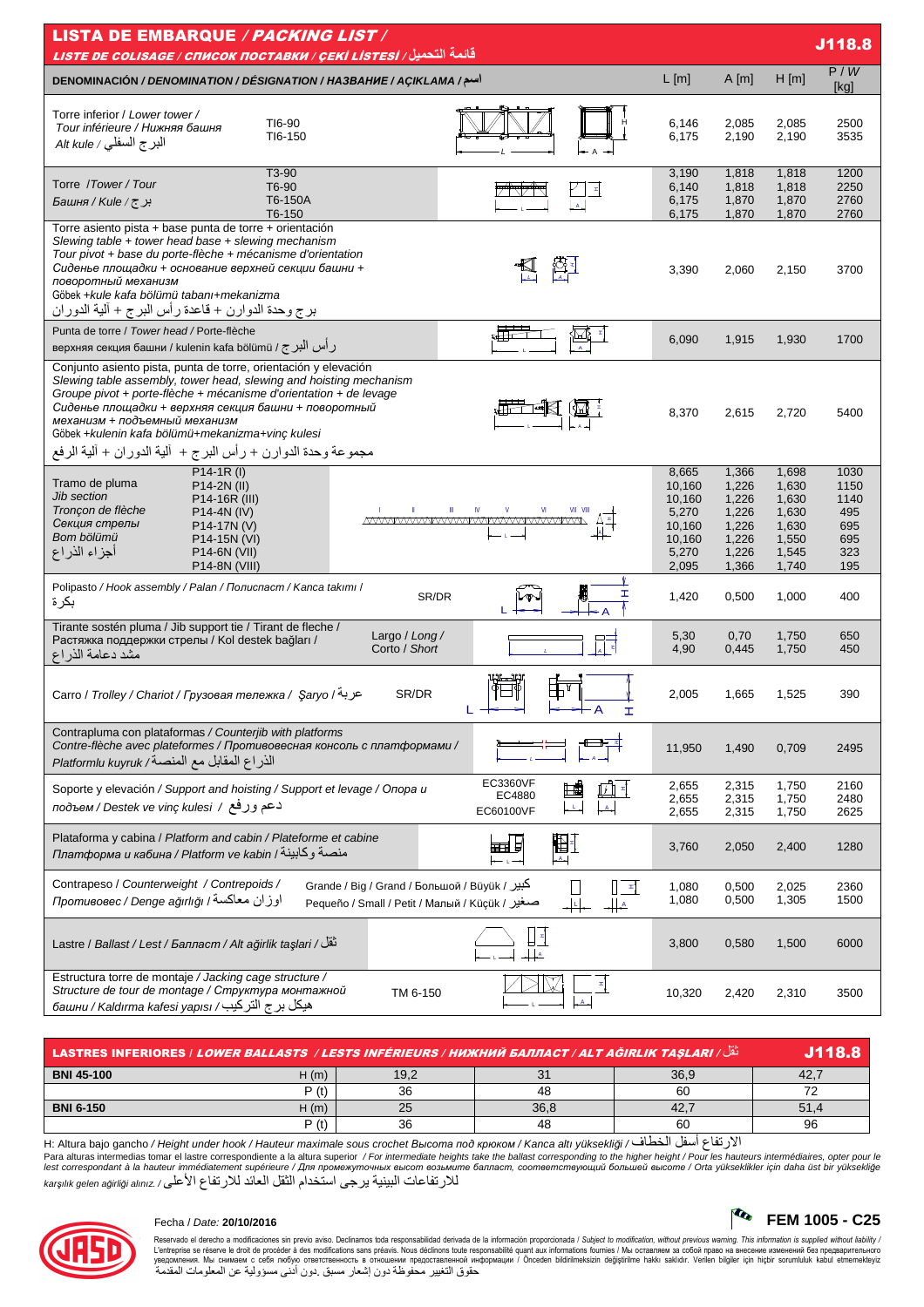| <b>LISTA DE EMBARQUE / PACKING LIST /</b><br>J118.8                                                                                                                                                                                                                                                                                                                                                                     |                                                                          |                                                                      |                                                                      |                                                         |  |  |  |  |  |  |  |
|-------------------------------------------------------------------------------------------------------------------------------------------------------------------------------------------------------------------------------------------------------------------------------------------------------------------------------------------------------------------------------------------------------------------------|--------------------------------------------------------------------------|----------------------------------------------------------------------|----------------------------------------------------------------------|---------------------------------------------------------|--|--|--|--|--|--|--|
| قائمة التحميل <i>( LISTE DE COLISAGE / СПИСОК ПОСТАВКИ / ÇEKİ LISTESİ</i><br>P/W                                                                                                                                                                                                                                                                                                                                        |                                                                          |                                                                      |                                                                      |                                                         |  |  |  |  |  |  |  |
| اسم/ DENOMINACIÓN / DENOMINATION / DÉSIGNATION / HA3BAHHE / AÇIKLAMA                                                                                                                                                                                                                                                                                                                                                    | L[m]                                                                     | A[m]                                                                 | $H$ [m]                                                              | [kg]                                                    |  |  |  |  |  |  |  |
| Torre inferior / Lower tower /<br>TI6-90<br>Tour inférieure / Нижняя башня<br>TI6-150<br>البرج السفلي / Alt kule                                                                                                                                                                                                                                                                                                        | 6,146<br>6,175                                                           | 2,085<br>2,190                                                       | 2,085<br>2,190                                                       | 2500<br>3535                                            |  |  |  |  |  |  |  |
| T3-90<br>Torre /Tower/Tour<br>T6-90<br>T6-150A<br>Faшня / Kule / ट्र<br>T6-150                                                                                                                                                                                                                                                                                                                                          | 3,190<br>6,140<br>6,175<br>6,175                                         | 1,818<br>1,818<br>1,870<br>1,870                                     | 1,818<br>1,818<br>1,870<br>1,870                                     | 1200<br>2250<br>2760<br>2760                            |  |  |  |  |  |  |  |
| Torre asiento pista + base punta de torre + orientación<br>Slewing table $+$ tower head base $+$ slewing mechanism<br>Tour pivot + base du porte-flèche + mécanisme d'orientation<br>Сиденье площадки + основание верхней секции башни +<br>поворотный механизм<br>Göbek +kule kafa bölümü tabanı+mekanizma<br>برج وحدة الدوارن + قاعدة رأس البرج + ألية الدوران                                                        | 3,390                                                                    | 2,060                                                                | 2,150                                                                | 3700                                                    |  |  |  |  |  |  |  |
| Punta de torre / Tower head / Porte-flèche<br>верхняя секция башни / kulenin kafa bölümü / رأس الْبرج /                                                                                                                                                                                                                                                                                                                 | 6,090                                                                    | 1,915                                                                | 1,930                                                                | 1700                                                    |  |  |  |  |  |  |  |
| Conjunto asiento pista, punta de torre, orientación y elevación<br>Slewing table assembly, tower head, slewing and hoisting mechanism<br>Groupe pivot + porte-flèche + mécanisme d'orientation + de levage<br>Сиденье площадки + верхняя секция башни + поворотный<br>механизм + подъемный механизм<br>Göbek +kulenin kafa bölümü+mekanizma+vinç kulesi<br>مجموعة وحدة الدوارن + رأس البرج +  ألية الدوران + ألية الرفع | 8,370                                                                    | 2,615                                                                | 2,720                                                                | 5400                                                    |  |  |  |  |  |  |  |
| $P14-1R (I)$<br>Tramo de pluma<br>P14-2N (II)<br>Jib section<br>P14-16R (III)<br>Tronçon de flèche<br>VII VIII<br>IV<br>V<br>P14-4N (IV)<br><u>MWWWWWWWWWWWWWWWWWW</u><br>Секция стрелы<br>P14-17N (V)<br>Bom bölümü<br>P14-15N (VI)<br>أجزاء الذراع<br>P14-6N (VII)<br>P14-8N (VIII)                                                                                                                                   | 8,665<br>10,160<br>10,160<br>5,270<br>10,160<br>10,160<br>5,270<br>2,095 | 1,366<br>1,226<br>1,226<br>1,226<br>1,226<br>1,226<br>1,226<br>1,366 | 1,698<br>1,630<br>1,630<br>1,630<br>1,630<br>1,550<br>1,545<br>1,740 | 1030<br>1150<br>1140<br>495<br>695<br>695<br>323<br>195 |  |  |  |  |  |  |  |
| Polipasto / Hook assembly / Palan / Полиспаст / Kanca takımı /<br>ェ<br>SR/DR<br>بكر ة                                                                                                                                                                                                                                                                                                                                   | 1,420                                                                    | 0,500                                                                | 1,000                                                                | 400                                                     |  |  |  |  |  |  |  |
| Tirante sostén pluma / Jib support tie / Tirant de fleche /<br>Largo / Long /<br>:ب<br>Растяжка поддержки стрелы / Kol destek bağları /<br>Corto / Short<br>مشد دعامة الذراع                                                                                                                                                                                                                                            | 5,30<br>4,90                                                             | 0,70<br>0,445                                                        | 1,750<br>1,750                                                       | 650<br>450                                              |  |  |  |  |  |  |  |
| SR/DR<br>Carro / Trolley / Chariot / Грузовая тележка / Saryo / عربة<br>H                                                                                                                                                                                                                                                                                                                                               | 2,005                                                                    | 1,665                                                                | 1,525                                                                | 390                                                     |  |  |  |  |  |  |  |
| Contrapluma con plataformas / Counterjib with platforms<br>Contre-flèche avec plateformes / Противовесная консоль с платформами /<br>الذراع المقابل مع المنصة/ Platformlu kuyruk                                                                                                                                                                                                                                        | 11,950                                                                   | 1,490                                                                | 0,709                                                                | 2495                                                    |  |  |  |  |  |  |  |
| EC3360VF<br>Soporte y elevación / Support and hoisting / Support et levage / Onopa u<br>EC4880<br>دعم وزفع / подъем / Destek ve vinç kulesi<br>EC60100VF                                                                                                                                                                                                                                                                | 2,655<br>2,655<br>2,655                                                  | 2,315<br>2,315<br>2,315                                              | 1,750<br>1,750<br>1,750                                              | 2160<br>2480<br>2625                                    |  |  |  |  |  |  |  |
| Plataforma y cabina / Platform and cabin / Plateforme et cabine<br>厨<br>⊞自<br>Платформа и кабина / Platform ve kabin / منصة وكابينة<br>A <sub>n</sub>                                                                                                                                                                                                                                                                   | 3,760                                                                    | 2,050                                                                | 2,400                                                                | 1280                                                    |  |  |  |  |  |  |  |
| Contrapeso / Counterweight / Contrepoids /<br>Grande / Big / Grand / Большой / Büyük / کبیر<br>$\mathbb{R}$<br>اوزان معاكسة / Противовес / Denge ağırlığı<br>Pequeño / Small / Реtit / Малый / Küçük / صغير<br>$\frac{\mu}{\lambda}$                                                                                                                                                                                    | 1,080<br>1,080                                                           | 0,500<br>0,500                                                       | 2,025<br>1,305                                                       | 2360<br>1500                                            |  |  |  |  |  |  |  |
| لْقُلْ / Lastre / Ballast / Lest / Балласт / Alt ağırlık taşları / تَقُلْ                                                                                                                                                                                                                                                                                                                                               | 3,800                                                                    | 0,580                                                                | 1,500                                                                | 6000                                                    |  |  |  |  |  |  |  |
| Estructura torre de montaje / Jacking cage structure /<br>Structure de tour de montage / Структура монтажной<br>TM 6-150<br>هيكل بر ج التركيب/ башни / Kaldırma kafesi yapısı                                                                                                                                                                                                                                           | 10,320                                                                   | 2,420                                                                | 2,310                                                                | 3500                                                    |  |  |  |  |  |  |  |

| نَقَا / LASTRES INFERIORES / <i>LOWER BALLASTS / LESTS INFÉRIEURS / HИЖНИЙ БАЛЛАСТ / ALT AĞIRLIK TAŞLARI</i> |       |      |      |      |      |  |  |
|--------------------------------------------------------------------------------------------------------------|-------|------|------|------|------|--|--|
| <b>BNI 45-100</b>                                                                                            | ้ (m) | 19,2 |      | 36.9 |      |  |  |
|                                                                                                              | P (ť  | 36   | 48   | 60   |      |  |  |
| <b>BNI 6-150</b>                                                                                             | H (m) | 25   | 36.8 |      | 51.4 |  |  |
|                                                                                                              | P (ť  | 36   | 48   | 60   | 96   |  |  |

الارتفاع أسفل الخطاف/ H: Altura bajo gancho / Height under hook / Hauteur maximale sous crochet *Высота под крюком / Kanca altı yüksekliği* / فبالنا عبد أسفل الخطاف Para alturas intermedias tomar el lastre correspondiente a la altura superior / For intermediate heights take the ballast corresponding to the higher height / Pour les hauteurs intermédiaires, opter pour le<br>lest correspon للارتفاعات البينية يرجّى استخدام الثقل العائد للارتفاع الأعلى/ karşılık gelen ağırliği alınız



Reservado el derecho a modificaciones sin previo aviso. Declinamos toda responsabilidad derivada de la información proporcionada / Subjec*t to modification, without previous warning. This information is supplied without*